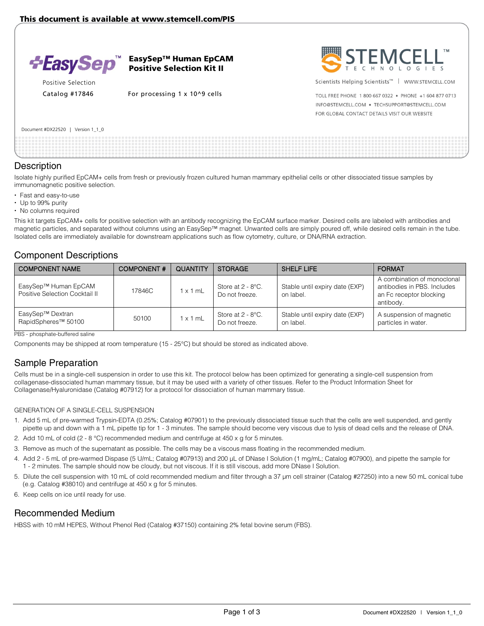

EasySep™ Human EpCAM Positive Selection Kit II

Positive Selection

Catalog #17846 For processing 1 x 10^9 cells



Scientists Helping Scientists<sup>™</sup> | WWW.STEMCELL.COM

TOLL FREE PHONE 1 800 667 0322 . PHONE +1 604 877 0713 INFO@STEMCELL.COM . TECHSUPPORT@STEMCELL.COM FOR GLOBAL CONTACT DETAILS VISIT OUR WEBSITE

### Document #DX22520 | Version 1\_1\_0

### **Description**

Isolate highly purified EpCAM+ cells from fresh or previously frozen cultured human mammary epithelial cells or other dissociated tissue samples by immunomagnetic positive selection.

- Fast and easy-to-use
- Up to 99% purity
- No columns required

This kit targets EpCAM+ cells for positive selection with an antibody recognizing the EpCAM surface marker. Desired cells are labeled with antibodies and magnetic particles, and separated without columns using an EasySep™ magnet. Unwanted cells are simply poured off, while desired cells remain in the tube. Isolated cells are immediately available for downstream applications such as flow cytometry, culture, or DNA/RNA extraction.

## Component Descriptions

| <b>COMPONENT NAME</b>                                  | <b>COMPONENT#</b> | QUANTITY | <b>STORAGE</b>                                     | <b>SHELF LIFE</b>                           | <b>FORMAT</b>                                                                                      |
|--------------------------------------------------------|-------------------|----------|----------------------------------------------------|---------------------------------------------|----------------------------------------------------------------------------------------------------|
| EasySep™ Human EpCAM<br>Positive Selection Cocktail II | 17846C            | 1 x 1 mL | Store at $2 - 8$ <sup>o</sup> C.<br>Do not freeze. | Stable until expiry date (EXP)<br>on label. | A combination of monoclonal<br>antibodies in PBS. Includes<br>an Fc receptor blocking<br>antibody. |
| EasySep™ Dextran<br>RapidSpheres <sup>™</sup> 50100    | 50100             | 1 x 1 mL | Store at $2 - 8$ °C.<br>Do not freeze.             | Stable until expiry date (EXP)<br>on label. | A suspension of magnetic<br>particles in water.                                                    |

PBS - phosphate-buffered saline

Components may be shipped at room temperature (15 - 25°C) but should be stored as indicated above.

# Sample Preparation

Cells must be in a single-cell suspension in order to use this kit. The protocol below has been optimized for generating a single-cell suspension from collagenase-dissociated human mammary tissue, but it may be used with a variety of other tissues. Refer to the Product Information Sheet for Collagenase/Hyaluronidase (Catalog #07912) for a protocol for dissociation of human mammary tissue.

#### GENERATION OF A SINGLE-CELL SUSPENSION

- 1. Add 5 mL of pre-warmed Trypsin-EDTA (0.25%; Catalog #07901) to the previously dissociated tissue such that the cells are well suspended, and gently pipette up and down with a 1 mL pipette tip for 1 - 3 minutes. The sample should become very viscous due to lysis of dead cells and the release of DNA.
- 2. Add 10 mL of cold  $(2 8 \degree C)$  recommended medium and centrifuge at 450 x g for 5 minutes.
- 3. Remove as much of the supernatant as possible. The cells may be a viscous mass floating in the recommended medium.
- 4. Add 2 5 mL of pre-warmed Dispase (5 U/mL; Catalog #07913) and 200 µL of DNase I Solution (1 mg/mL; Catalog #07900), and pipette the sample for 1 2 minutes. The sample should now be cloudy, but not viscous. If it is still viscous, add more DNase I Solution.
- 5. Dilute the cell suspension with 10 mL of cold recommended medium and filter through a 37 µm cell strainer (Catalog #27250) into a new 50 mL conical tube (e.g. Catalog #38010) and centrifuge at 450 x g for 5 minutes.
- 6. Keep cells on ice until ready for use.

## Recommended Medium

HBSS with 10 mM HEPES, Without Phenol Red (Catalog #37150) containing 2% fetal bovine serum (FBS).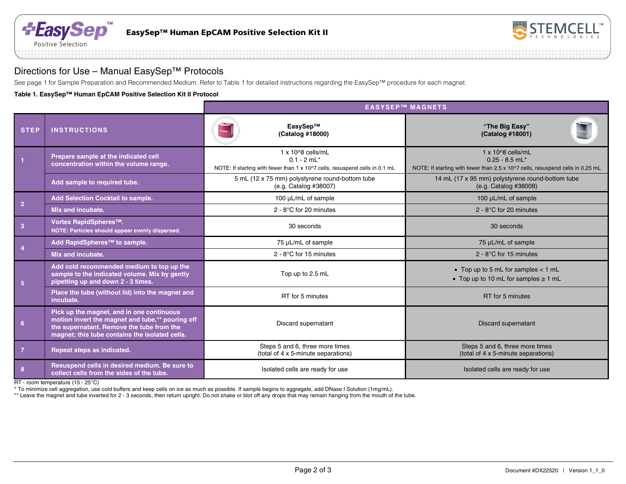



# Directions for Use – Manual EasySep™ Protocols

See page 1 for Sample Preparation and Recommended Medium. Refer to Table 1 for detailed instructions regarding the EasySep™ procedure for each magnet.

**Table 1. EasySep™ Human EpCAM Positive Selection Kit II Protocol**

|                         |                                                                                                                                                                                              | <b>EASYSEP™ MAGNETS</b>                                                                                                       |                                                                                                                                     |  |  |  |
|-------------------------|----------------------------------------------------------------------------------------------------------------------------------------------------------------------------------------------|-------------------------------------------------------------------------------------------------------------------------------|-------------------------------------------------------------------------------------------------------------------------------------|--|--|--|
| <b>STEP</b>             | <b>INSTRUCTIONS</b>                                                                                                                                                                          | EasySep™<br>(Catalog #18000)                                                                                                  | "The Big Easy"<br>(Catalog #18001)                                                                                                  |  |  |  |
|                         | Prepare sample at the indicated cell<br>concentration within the volume range.                                                                                                               | 1 x 10^8 cells/mL<br>$0.1 - 2$ mL <sup>*</sup><br>NOTE: If starting with fewer than 1 x 10^7 cells, resuspend cells in 0.1 mL | 1 x 10^8 cells/mL<br>$0.25 - 8.5$ mL <sup>*</sup><br>NOTE: If starting with fewer than 2.5 x 10^7 cells, resuspend cells in 0.25 mL |  |  |  |
|                         | Add sample to required tube.                                                                                                                                                                 | 5 mL (12 x 75 mm) polystyrene round-bottom tube<br>(e.g. Catalog #38007)                                                      | 14 mL (17 x 95 mm) polystyrene round-bottom tube<br>(e.g. Catalog #38008)                                                           |  |  |  |
| $\overline{2}$          | Add Selection Cocktail to sample.                                                                                                                                                            | 100 µL/mL of sample                                                                                                           | 100 µL/mL of sample                                                                                                                 |  |  |  |
|                         | Mix and incubate.                                                                                                                                                                            | 2 - 8°C for 20 minutes                                                                                                        | 2 - $8^{\circ}$ C for 20 minutes                                                                                                    |  |  |  |
| $\overline{\mathbf{3}}$ | Vortex RapidSpheres™.<br>NOTE: Particles should appear evenly dispersed.                                                                                                                     | 30 seconds                                                                                                                    | 30 seconds                                                                                                                          |  |  |  |
|                         | Add RapidSpheres™ to sample.                                                                                                                                                                 | 75 µL/mL of sample                                                                                                            | 75 µL/mL of sample                                                                                                                  |  |  |  |
| $\overline{4}$          | Mix and incubate.                                                                                                                                                                            | $2 - 8$ °C for 15 minutes                                                                                                     | $2 - 8$ °C for 15 minutes                                                                                                           |  |  |  |
| 5 <sub>5</sub>          | Add cold recommended medium to top up the<br>sample to the indicated volume. Mix by gently<br>pipetting up and down 2 - 3 times.                                                             | Top up to 2.5 mL                                                                                                              | • Top up to 5 mL for samples < 1 mL<br>• Top up to 10 mL for samples $\geq 1$ mL                                                    |  |  |  |
|                         | Place the tube (without lid) into the magnet and<br>incubate.                                                                                                                                | RT for 5 minutes                                                                                                              | RT for 5 minutes                                                                                                                    |  |  |  |
| 6                       | Pick up the magnet, and in one continuous<br>motion invert the magnet and tube,** pouring off<br>the supernatant. Remove the tube from the<br>magnet; this tube contains the isolated cells. | Discard supernatant                                                                                                           | <b>Discard supernatant</b>                                                                                                          |  |  |  |
| $\overline{7}$          | Repeat steps as indicated.                                                                                                                                                                   | Steps 5 and 6, three more times<br>(total of 4 x 5-minute separations)                                                        | Steps 5 and 6, three more times<br>(total of 4 x 5-minute separations)                                                              |  |  |  |
| 8                       | Resuspend cells in desired medium. Be sure to<br>collect cells from the sides of the tube.                                                                                                   | Isolated cells are ready for use                                                                                              | Isolated cells are ready for use                                                                                                    |  |  |  |

RT - room temperature (15 - 25°C)

\* To minimize cell aggregation, use cold buffers and keep cells on ice as much as possible. If sample begins to aggregate, add DNase I Solution (1mg/mL).

\*\* Leave the magnet and tube inverted for 2 - 3 seconds, then return upright. Do not shake or blot off any drops that may remain hanging from the mouth of the tube.